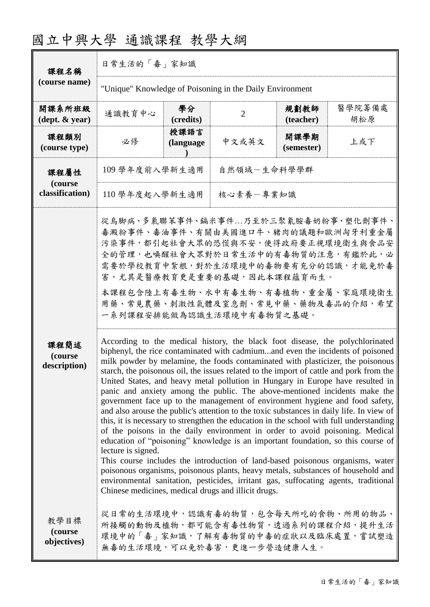| 課程名稱                                       | 日常生活的「毒」家知識                                                                                                                                                                                                                                                                                                                                                                                                                                                                                                                                                                                                                                                                                                                                                                                                                                                                                                                                                                                                                                                                                                                                                                                                                                                                                                                                                                                                                                                                                                                                                                                                                              |                   |                |                    |               |  |
|--------------------------------------------|------------------------------------------------------------------------------------------------------------------------------------------------------------------------------------------------------------------------------------------------------------------------------------------------------------------------------------------------------------------------------------------------------------------------------------------------------------------------------------------------------------------------------------------------------------------------------------------------------------------------------------------------------------------------------------------------------------------------------------------------------------------------------------------------------------------------------------------------------------------------------------------------------------------------------------------------------------------------------------------------------------------------------------------------------------------------------------------------------------------------------------------------------------------------------------------------------------------------------------------------------------------------------------------------------------------------------------------------------------------------------------------------------------------------------------------------------------------------------------------------------------------------------------------------------------------------------------------------------------------------------------------|-------------------|----------------|--------------------|---------------|--|
| (course name)                              | "Unique" Knowledge of Poisoning in the Daily Environment                                                                                                                                                                                                                                                                                                                                                                                                                                                                                                                                                                                                                                                                                                                                                                                                                                                                                                                                                                                                                                                                                                                                                                                                                                                                                                                                                                                                                                                                                                                                                                                 |                   |                |                    |               |  |
| 開課系所班級<br>$(\text{dept.} \& \text{ year})$ | 通識教育中心                                                                                                                                                                                                                                                                                                                                                                                                                                                                                                                                                                                                                                                                                                                                                                                                                                                                                                                                                                                                                                                                                                                                                                                                                                                                                                                                                                                                                                                                                                                                                                                                                                   | 學分<br>(credits)   | $\overline{2}$ | 規劃教師<br>(teacher)  | 醫學院籌備處<br>胡松原 |  |
| 課程類別<br>(course type)                      | 必修                                                                                                                                                                                                                                                                                                                                                                                                                                                                                                                                                                                                                                                                                                                                                                                                                                                                                                                                                                                                                                                                                                                                                                                                                                                                                                                                                                                                                                                                                                                                                                                                                                       | 授課語言<br>(language | 中文或英文          | 開課學期<br>(semester) | 上或下           |  |
| 課程屬性                                       | 109 學年度前入學新生適用                                                                                                                                                                                                                                                                                                                                                                                                                                                                                                                                                                                                                                                                                                                                                                                                                                                                                                                                                                                                                                                                                                                                                                                                                                                                                                                                                                                                                                                                                                                                                                                                                           |                   | 自然領域一生命科學學群    |                    |               |  |
| (course<br>classification)                 | 核心素養一專業知識<br>110學年度起入學新生適用                                                                                                                                                                                                                                                                                                                                                                                                                                                                                                                                                                                                                                                                                                                                                                                                                                                                                                                                                                                                                                                                                                                                                                                                                                                                                                                                                                                                                                                                                                                                                                                                               |                   |                |                    |               |  |
|                                            | 從烏脚病、多氯聯苯事件、鎘米事件乃至於三聚氰胺毒奶粉事、塑化劑事件、<br>毒澱粉事件、毒油事件、有關由美國進口牛、豬肉的議題和歐洲匈牙利重金屬<br>污染事件,都引起社會大眾的恐慌與不安,使得政府要正視環境衛生與食品安<br>全的管理,也唤醒社會大眾對於日常生活中的有毒物質的注意,有鑑於此,必<br>需要於學校教育中紮根,對於生活環境中的毒物要有充分的認識,才能免於毒<br>害,尤其是醫療教育更是重要的基礎,因此本課程蘊育而生。<br>本課程包含陸上有毒生物、水中有毒生物、有毒植物、重金屬、家庭環境衛生<br>用藥、常見農藥、刺激性氣體及窒息劑、常見中藥、藥物及毒品的介紹,希望<br>一系列課程安排能做為認識生活環境中有毒物質之基礎。<br>According to the medical history, the black foot disease, the polychlorinated<br>biphenyl, the rice contaminated with cadmiumand even the incidents of poisoned<br>milk powder by melamine, the foods contaminated with plasticizer, the poisonous<br>starch, the poisonous oil, the issues related to the import of cattle and pork from the<br>United States, and heavy metal pollution in Hungary in Europe have resulted in<br>panic and anxiety among the public. The above-mentioned incidents make the<br>government face up to the management of environment hygiene and food safety,<br>and also arouse the public's attention to the toxic substances in daily life. In view of<br>this, it is necessary to strengthen the education in the school with full understanding<br>of the poisons in the daily environment in order to avoid poisoning. Medical<br>education of "poisoning" knowledge is an important foundation, so this course of<br>lecture is signed.<br>This course includes the introduction of land-based poisonous organisms, water<br>poisonous organisms, poisonous plants, heavy metals, substances of household and<br>environmental sanitation, pesticides, irritant gas, suffocating agents, traditional<br>Chinese medicines, medical drugs and illicit drugs. |                   |                |                    |               |  |
| 課程簡述<br>(course<br>description)            |                                                                                                                                                                                                                                                                                                                                                                                                                                                                                                                                                                                                                                                                                                                                                                                                                                                                                                                                                                                                                                                                                                                                                                                                                                                                                                                                                                                                                                                                                                                                                                                                                                          |                   |                |                    |               |  |
| 教學目標<br>(course<br>objectives)             | 從日常的生活環境中,認識有毒的物質,包含每天所吃的食物、所用的物品、<br>所接觸的動物及植物,都可能含有毒性物質,透過系列的課程介紹,提升生活<br>環境中的「毒」家知識,了解有毒物質的中毒的症狀以及臨床處置,嘗試塑造<br>無毒的生活環境,可以免於毒害,更進一步營造健康人生。                                                                                                                                                                                                                                                                                                                                                                                                                                                                                                                                                                                                                                                                                                                                                                                                                                                                                                                                                                                                                                                                                                                                                                                                                                                                                                                                                                                                                                                                                             |                   |                |                    |               |  |

# 國立中興大學 通識課程 教學大綱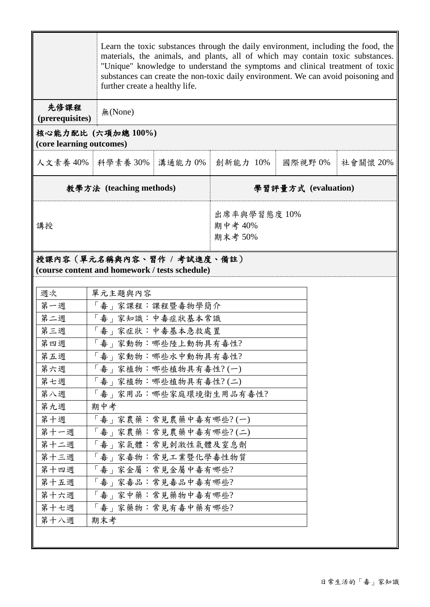|                                                                              |                       | Learn the toxic substances through the daily environment, including the food, the<br>materials, the animals, and plants, all of which may contain toxic substances.<br>"Unique" knowledge to understand the symptoms and clinical treatment of toxic<br>substances can create the non-toxic daily environment. We can avoid poisoning and<br>further create a healthy life. |          |  |        |          |
|------------------------------------------------------------------------------|-----------------------|-----------------------------------------------------------------------------------------------------------------------------------------------------------------------------------------------------------------------------------------------------------------------------------------------------------------------------------------------------------------------------|----------|--|--------|----------|
| 先修課程<br>(prerequisites)                                                      | 無(None)               |                                                                                                                                                                                                                                                                                                                                                                             |          |  |        |          |
| 核心能力配比 (六項加總100%)<br>(core learning outcomes)                                |                       |                                                                                                                                                                                                                                                                                                                                                                             |          |  |        |          |
|                                                                              | 人文素養 40% 科學素養 30%     | 溝通能力0%                                                                                                                                                                                                                                                                                                                                                                      | 創新能力 10% |  | 國際視野0% | 社會關懷 20% |
| 教學方法 (teaching methods)                                                      |                       | 學習評量方式 (evaluation)                                                                                                                                                                                                                                                                                                                                                         |          |  |        |          |
| 講授                                                                           |                       | 出席率與學習態度10%<br>期中考 40%<br>期末考 50%                                                                                                                                                                                                                                                                                                                                           |          |  |        |          |
| 授課內容(單元名稱與內容、習作 / 考試進度、備註)<br>(course content and homework / tests schedule) |                       |                                                                                                                                                                                                                                                                                                                                                                             |          |  |        |          |
| 週次                                                                           | 單元主題與內容               |                                                                                                                                                                                                                                                                                                                                                                             |          |  |        |          |
| 第一週                                                                          | 「毒」家課程:課程暨毒物學簡介       |                                                                                                                                                                                                                                                                                                                                                                             |          |  |        |          |
| 第二週                                                                          | 「毒」家知識:中毒症狀基本常識       |                                                                                                                                                                                                                                                                                                                                                                             |          |  |        |          |
| 第三週                                                                          | 「毒」家症狀:中毒基本急救處置       |                                                                                                                                                                                                                                                                                                                                                                             |          |  |        |          |
| 第四週                                                                          | 「毒」家動物:哪些陸上動物具有毒性?    |                                                                                                                                                                                                                                                                                                                                                                             |          |  |        |          |
| 第五週                                                                          | 「毒」家動物:哪些水中動物具有毒性?    |                                                                                                                                                                                                                                                                                                                                                                             |          |  |        |          |
| 第六週                                                                          | 「毒」家植物:哪些植物具有毒性?(一)   |                                                                                                                                                                                                                                                                                                                                                                             |          |  |        |          |
| 第七週                                                                          | 「毒」家植物:哪些植物具有毒性?(二)   |                                                                                                                                                                                                                                                                                                                                                                             |          |  |        |          |
| 第八週                                                                          | 「毒」家用品:哪些家庭環境衛生用品有毒性? |                                                                                                                                                                                                                                                                                                                                                                             |          |  |        |          |
| 第九週<br>期中考                                                                   |                       |                                                                                                                                                                                                                                                                                                                                                                             |          |  |        |          |
| 第十週                                                                          | 「毒」家農藥:常見農藥中毒有哪些?(一)  |                                                                                                                                                                                                                                                                                                                                                                             |          |  |        |          |
| 第十一週                                                                         | 「毒」家農藥:常見農藥中毒有哪些?(二)  |                                                                                                                                                                                                                                                                                                                                                                             |          |  |        |          |
| 第十二週                                                                         | 「毒」家氣體:常見刺激性氣體及窒息劑    |                                                                                                                                                                                                                                                                                                                                                                             |          |  |        |          |
| 第十三週                                                                         | 「毒」家毒物:常見工業暨化學毒性物質    |                                                                                                                                                                                                                                                                                                                                                                             |          |  |        |          |
| 第十四週                                                                         | 「毒」家金屬:常見金屬中毒有哪些?     |                                                                                                                                                                                                                                                                                                                                                                             |          |  |        |          |
| 第十五週                                                                         |                       | 「毒」家毒品:常見毒品中毒有哪些?                                                                                                                                                                                                                                                                                                                                                           |          |  |        |          |
| 第十六週                                                                         | 「毒」家中藥:常見藥物中毒有哪些?     |                                                                                                                                                                                                                                                                                                                                                                             |          |  |        |          |
| 第十七週                                                                         | 「毒」家藥物:常見有毒中藥有哪些?     |                                                                                                                                                                                                                                                                                                                                                                             |          |  |        |          |
| 第十八週<br>期末考                                                                  |                       |                                                                                                                                                                                                                                                                                                                                                                             |          |  |        |          |
|                                                                              |                       |                                                                                                                                                                                                                                                                                                                                                                             |          |  |        |          |